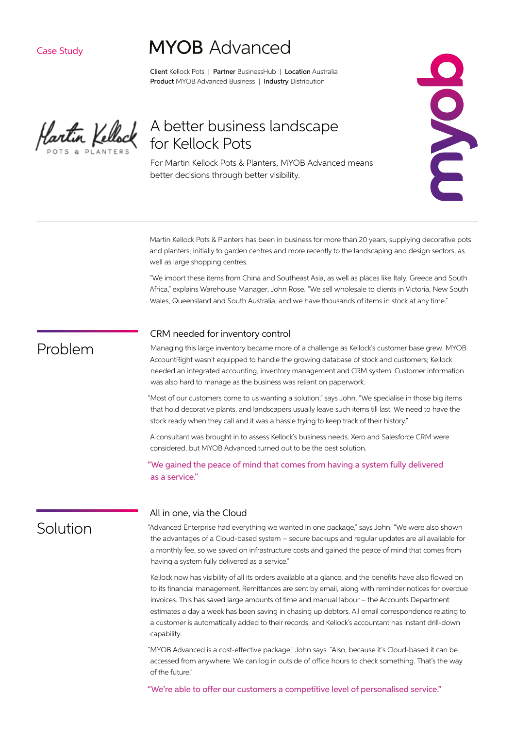Case Study

# **MYOB** Advanced

Client Kellock Pots | Partner BusinessHub | Location Australia Product MYOB Advanced Business | Industry Distribution

Hartin Kellock

## A better business landscape for Kellock Pots

For Martin Kellock Pots & Planters, MYOB Advanced means better decisions through better visibility.

Martin Kellock Pots & Planters has been in business for more than 20 years, supplying decorative pots and planters; initially to garden centres and more recently to the landscaping and design sectors, as well as large shopping centres.

"We import these items from China and Southeast Asia, as well as places like Italy, Greece and South Africa," explains Warehouse Manager, John Rose. "We sell wholesale to clients in Victoria, New South Wales, Queensland and South Australia, and we have thousands of items in stock at any time."

#### CRM needed for inventory control

Problem

Managing this large inventory became more of a challenge as Kellock's customer base grew. MYOB AccountRight wasn't equipped to handle the growing database of stock and customers; Kellock needed an integrated accounting, inventory management and CRM system. Customer information was also hard to manage as the business was reliant on paperwork.

"Most of our customers come to us wanting a solution," says John. "We specialise in those big items that hold decorative plants, and landscapers usually leave such items till last. We need to have the stock ready when they call and it was a hassle trying to keep track of their history."

A consultant was brought in to assess Kellock's business needs. Xero and Salesforce CRM were considered, but MYOB Advanced turned out to be the best solution.

"We gained the peace of mind that comes from having a system fully delivered as a service."

### **Solution**

#### All in one, via the Cloud

"Advanced Enterprise had everything we wanted in one package," says John. "We were also shown the advantages of a Cloud-based system – secure backups and regular updates are all available for a monthly fee, so we saved on infrastructure costs and gained the peace of mind that comes from having a system fully delivered as a service."

Kellock now has visibility of all its orders available at a glance, and the benefits have also flowed on to its financial management. Remittances are sent by email, along with reminder notices for overdue invoices. This has saved large amounts of time and manual labour – the Accounts Department estimates a day a week has been saving in chasing up debtors. All email correspondence relating to a customer is automatically added to their records, and Kellock's accountant has instant drill-down capability.

"MYOB Advanced is a cost-effective package," John says. "Also, because it's Cloud-based it can be accessed from anywhere. We can log in outside of office hours to check something. That's the way of the future."

"We're able to offer our customers a competitive level of personalised service."